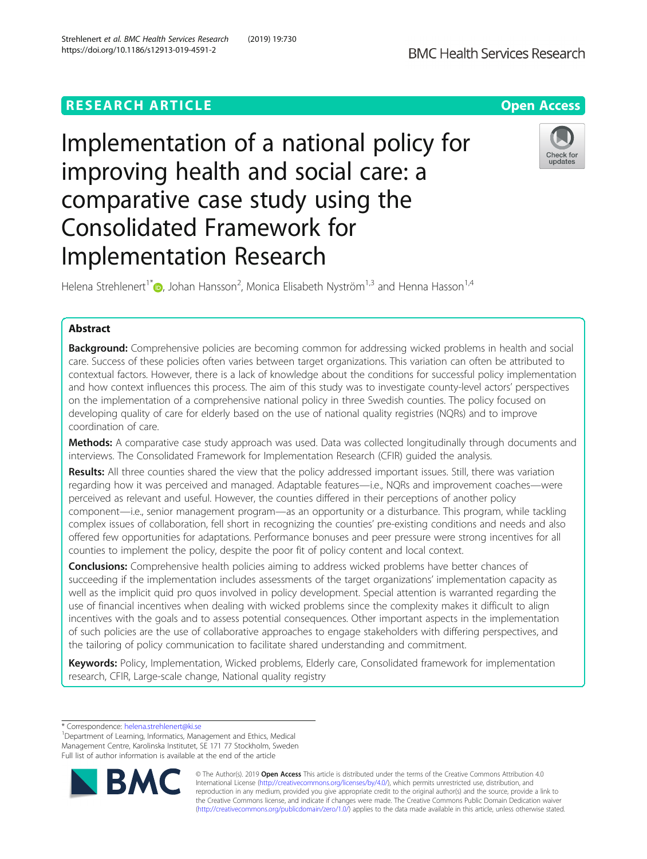# **RESEARCH ARTICLE Example 2014 12:30 The Contract of Contract ACCESS**

Implementation of a national policy for improving health and social care: a comparative case study using the Consolidated Framework for Implementation Research



Helena Strehlenert<sup>1\*</sup> $\bullet$ [,](http://orcid.org/0000-0002-4399-5592) Johan Hansson<sup>2</sup>, Monica Elisabeth Nyström<sup>1,3</sup> and Henna Hasson<sup>1,4</sup>

# Abstract

**Background:** Comprehensive policies are becoming common for addressing wicked problems in health and social care. Success of these policies often varies between target organizations. This variation can often be attributed to contextual factors. However, there is a lack of knowledge about the conditions for successful policy implementation and how context influences this process. The aim of this study was to investigate county-level actors' perspectives on the implementation of a comprehensive national policy in three Swedish counties. The policy focused on developing quality of care for elderly based on the use of national quality registries (NQRs) and to improve coordination of care.

Methods: A comparative case study approach was used. Data was collected longitudinally through documents and interviews. The Consolidated Framework for Implementation Research (CFIR) guided the analysis.

Results: All three counties shared the view that the policy addressed important issues. Still, there was variation regarding how it was perceived and managed. Adaptable features—i.e., NQRs and improvement coaches—were perceived as relevant and useful. However, the counties differed in their perceptions of another policy component—i.e., senior management program—as an opportunity or a disturbance. This program, while tackling complex issues of collaboration, fell short in recognizing the counties' pre-existing conditions and needs and also offered few opportunities for adaptations. Performance bonuses and peer pressure were strong incentives for all counties to implement the policy, despite the poor fit of policy content and local context.

**Conclusions:** Comprehensive health policies aiming to address wicked problems have better chances of succeeding if the implementation includes assessments of the target organizations' implementation capacity as well as the implicit quid pro quos involved in policy development. Special attention is warranted regarding the use of financial incentives when dealing with wicked problems since the complexity makes it difficult to align incentives with the goals and to assess potential consequences. Other important aspects in the implementation of such policies are the use of collaborative approaches to engage stakeholders with differing perspectives, and the tailoring of policy communication to facilitate shared understanding and commitment.

Keywords: Policy, Implementation, Wicked problems, Elderly care, Consolidated framework for implementation research, CFIR, Large-scale change, National quality registry

\* Correspondence: [helena.strehlenert@ki.se](mailto:helena.strehlenert@ki.se) <sup>1</sup>

<sup>1</sup>Department of Learning, Informatics, Management and Ethics, Medical Management Centre, Karolinska Institutet, SE 171 77 Stockholm, Sweden Full list of author information is available at the end of the article



© The Author(s). 2019 Open Access This article is distributed under the terms of the Creative Commons Attribution 4.0 International License [\(http://creativecommons.org/licenses/by/4.0/](http://creativecommons.org/licenses/by/4.0/)), which permits unrestricted use, distribution, and reproduction in any medium, provided you give appropriate credit to the original author(s) and the source, provide a link to the Creative Commons license, and indicate if changes were made. The Creative Commons Public Domain Dedication waiver [\(http://creativecommons.org/publicdomain/zero/1.0/](http://creativecommons.org/publicdomain/zero/1.0/)) applies to the data made available in this article, unless otherwise stated.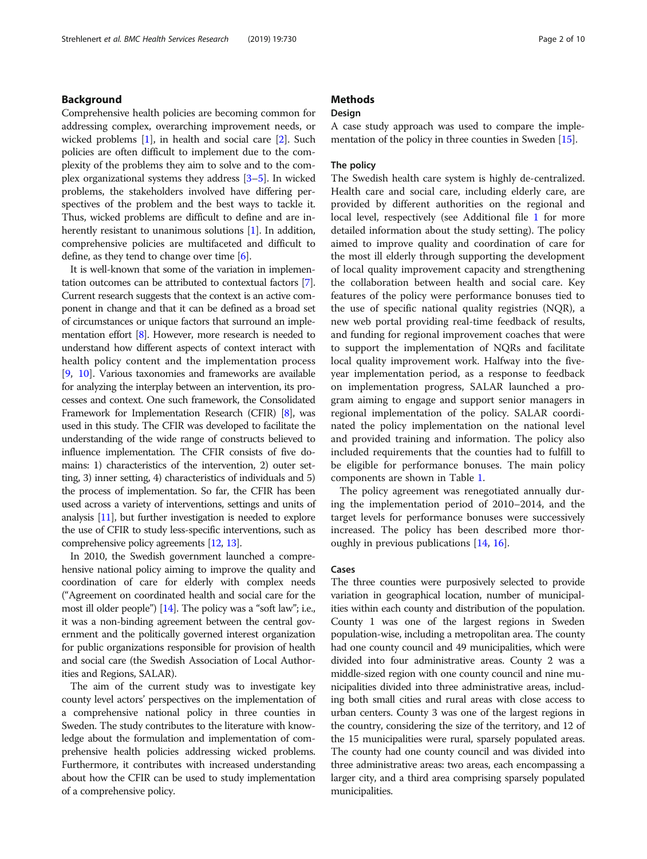# Background

Comprehensive health policies are becoming common for addressing complex, overarching improvement needs, or wicked problems [\[1\]](#page-8-0), in health and social care [[2\]](#page-8-0). Such policies are often difficult to implement due to the complexity of the problems they aim to solve and to the complex organizational systems they address [\[3](#page-8-0)–[5](#page-8-0)]. In wicked problems, the stakeholders involved have differing perspectives of the problem and the best ways to tackle it. Thus, wicked problems are difficult to define and are in-herently resistant to unanimous solutions [[1](#page-8-0)]. In addition, comprehensive policies are multifaceted and difficult to define, as they tend to change over time  $[6]$  $[6]$  $[6]$ .

It is well-known that some of the variation in implementation outcomes can be attributed to contextual factors [[7](#page-9-0)]. Current research suggests that the context is an active component in change and that it can be defined as a broad set of circumstances or unique factors that surround an implementation effort [[8](#page-9-0)]. However, more research is needed to understand how different aspects of context interact with health policy content and the implementation process [[9,](#page-9-0) [10](#page-9-0)]. Various taxonomies and frameworks are available for analyzing the interplay between an intervention, its processes and context. One such framework, the Consolidated Framework for Implementation Research (CFIR) [[8](#page-9-0)], was used in this study. The CFIR was developed to facilitate the understanding of the wide range of constructs believed to influence implementation. The CFIR consists of five domains: 1) characteristics of the intervention, 2) outer setting, 3) inner setting, 4) characteristics of individuals and 5) the process of implementation. So far, the CFIR has been used across a variety of interventions, settings and units of analysis [[11](#page-9-0)], but further investigation is needed to explore the use of CFIR to study less-specific interventions, such as comprehensive policy agreements [\[12,](#page-9-0) [13\]](#page-9-0).

In 2010, the Swedish government launched a comprehensive national policy aiming to improve the quality and coordination of care for elderly with complex needs ("Agreement on coordinated health and social care for the most ill older people") [\[14](#page-9-0)]. The policy was a "soft law"; i.e., it was a non-binding agreement between the central government and the politically governed interest organization for public organizations responsible for provision of health and social care (the Swedish Association of Local Authorities and Regions, SALAR).

The aim of the current study was to investigate key county level actors' perspectives on the implementation of a comprehensive national policy in three counties in Sweden. The study contributes to the literature with knowledge about the formulation and implementation of comprehensive health policies addressing wicked problems. Furthermore, it contributes with increased understanding about how the CFIR can be used to study implementation of a comprehensive policy.

# **Methods**

### Design

A case study approach was used to compare the implementation of the policy in three counties in Sweden [\[15\]](#page-9-0).

# The policy

The Swedish health care system is highly de-centralized. Health care and social care, including elderly care, are provided by different authorities on the regional and local level, respectively (see Additional file [1](#page-8-0) for more detailed information about the study setting). The policy aimed to improve quality and coordination of care for the most ill elderly through supporting the development of local quality improvement capacity and strengthening the collaboration between health and social care. Key features of the policy were performance bonuses tied to the use of specific national quality registries (NQR), a new web portal providing real-time feedback of results, and funding for regional improvement coaches that were to support the implementation of NQRs and facilitate local quality improvement work. Halfway into the fiveyear implementation period, as a response to feedback on implementation progress, SALAR launched a program aiming to engage and support senior managers in regional implementation of the policy. SALAR coordinated the policy implementation on the national level and provided training and information. The policy also included requirements that the counties had to fulfill to be eligible for performance bonuses. The main policy components are shown in Table [1](#page-2-0).

The policy agreement was renegotiated annually during the implementation period of 2010–2014, and the target levels for performance bonuses were successively increased. The policy has been described more thoroughly in previous publications [\[14](#page-9-0), [16\]](#page-9-0).

### Cases

The three counties were purposively selected to provide variation in geographical location, number of municipalities within each county and distribution of the population. County 1 was one of the largest regions in Sweden population-wise, including a metropolitan area. The county had one county council and 49 municipalities, which were divided into four administrative areas. County 2 was a middle-sized region with one county council and nine municipalities divided into three administrative areas, including both small cities and rural areas with close access to urban centers. County 3 was one of the largest regions in the country, considering the size of the territory, and 12 of the 15 municipalities were rural, sparsely populated areas. The county had one county council and was divided into three administrative areas: two areas, each encompassing a larger city, and a third area comprising sparsely populated municipalities.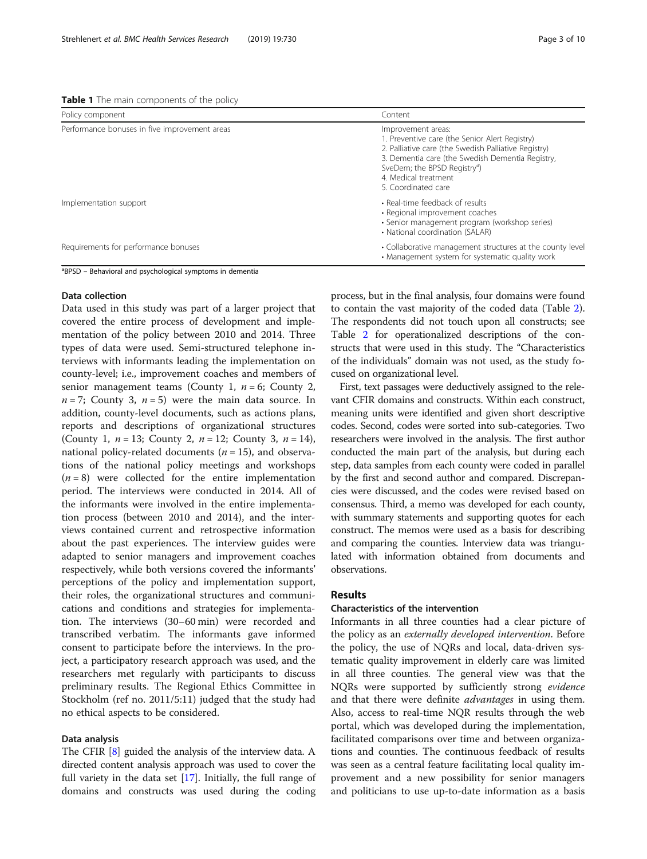<span id="page-2-0"></span>Table 1 The main components of the policy

| Policy component                              | Content                                                                                                                                                                                                                                                                     |
|-----------------------------------------------|-----------------------------------------------------------------------------------------------------------------------------------------------------------------------------------------------------------------------------------------------------------------------------|
| Performance bonuses in five improvement areas | Improvement areas:<br>1. Preventive care (the Senior Alert Registry)<br>2. Palliative care (the Swedish Palliative Registry)<br>3. Dementia care (the Swedish Dementia Registry,<br>SveDem; the BPSD Registry <sup>a</sup> )<br>4. Medical treatment<br>5. Coordinated care |
| Implementation support                        | • Real-time feedback of results<br>• Regional improvement coaches<br>• Senior management program (workshop series)<br>• National coordination (SALAR)                                                                                                                       |
| Requirements for performance bonuses          | • Collaborative management structures at the county level<br>• Management system for systematic quality work                                                                                                                                                                |

<sup>a</sup>BPSD – Behavioral and psychological symptoms in dementia

### Data collection

Data used in this study was part of a larger project that covered the entire process of development and implementation of the policy between 2010 and 2014. Three types of data were used. Semi-structured telephone interviews with informants leading the implementation on county-level; i.e., improvement coaches and members of senior management teams (County 1,  $n = 6$ ; County 2,  $n = 7$ ; County 3,  $n = 5$ ) were the main data source. In addition, county-level documents, such as actions plans, reports and descriptions of organizational structures (County 1,  $n = 13$ ; County 2,  $n = 12$ ; County 3,  $n = 14$ ), national policy-related documents  $(n = 15)$ , and observations of the national policy meetings and workshops  $(n = 8)$  were collected for the entire implementation period. The interviews were conducted in 2014. All of the informants were involved in the entire implementation process (between 2010 and 2014), and the interviews contained current and retrospective information about the past experiences. The interview guides were adapted to senior managers and improvement coaches respectively, while both versions covered the informants' perceptions of the policy and implementation support, their roles, the organizational structures and communications and conditions and strategies for implementation. The interviews (30–60 min) were recorded and transcribed verbatim. The informants gave informed consent to participate before the interviews. In the project, a participatory research approach was used, and the researchers met regularly with participants to discuss preliminary results. The Regional Ethics Committee in Stockholm (ref no. 2011/5:11) judged that the study had no ethical aspects to be considered.

# Data analysis

The CFIR [\[8\]](#page-9-0) guided the analysis of the interview data. A directed content analysis approach was used to cover the full variety in the data set  $[17]$  $[17]$  $[17]$ . Initially, the full range of domains and constructs was used during the coding process, but in the final analysis, four domains were found to contain the vast majority of the coded data (Table [2](#page-3-0)). The respondents did not touch upon all constructs; see Table [2](#page-3-0) for operationalized descriptions of the constructs that were used in this study. The "Characteristics of the individuals" domain was not used, as the study focused on organizational level.

First, text passages were deductively assigned to the relevant CFIR domains and constructs. Within each construct, meaning units were identified and given short descriptive codes. Second, codes were sorted into sub-categories. Two researchers were involved in the analysis. The first author conducted the main part of the analysis, but during each step, data samples from each county were coded in parallel by the first and second author and compared. Discrepancies were discussed, and the codes were revised based on consensus. Third, a memo was developed for each county, with summary statements and supporting quotes for each construct. The memos were used as a basis for describing and comparing the counties. Interview data was triangulated with information obtained from documents and observations.

# Results

# Characteristics of the intervention

Informants in all three counties had a clear picture of the policy as an externally developed intervention. Before the policy, the use of NQRs and local, data-driven systematic quality improvement in elderly care was limited in all three counties. The general view was that the NQRs were supported by sufficiently strong evidence and that there were definite *advantages* in using them. Also, access to real-time NQR results through the web portal, which was developed during the implementation, facilitated comparisons over time and between organizations and counties. The continuous feedback of results was seen as a central feature facilitating local quality improvement and a new possibility for senior managers and politicians to use up-to-date information as a basis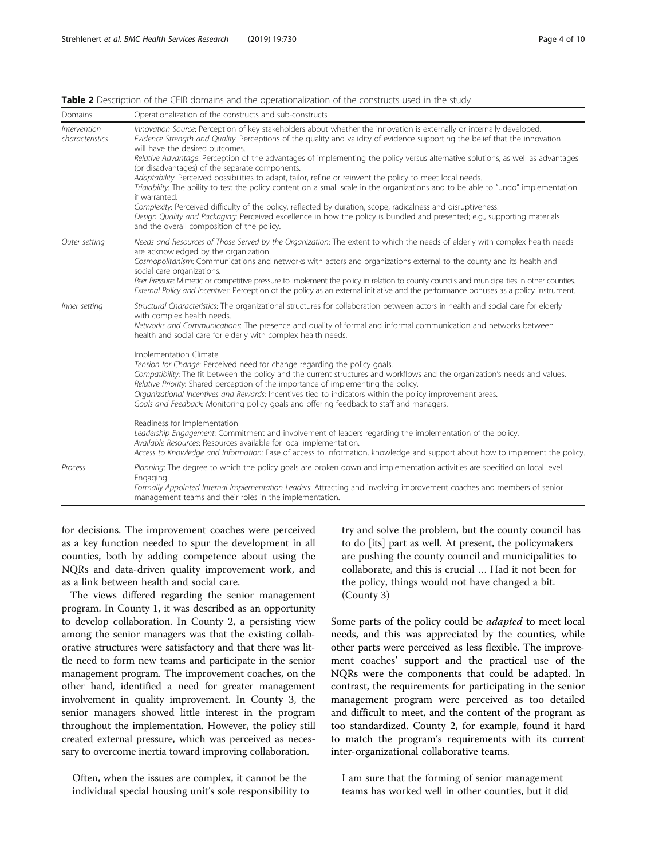<span id="page-3-0"></span>

| Domains                         | Operationalization of the constructs and sub-constructs                                                                                                                                                                                                                                                                                                                                                                                                                                                                                                                                                                                                                                                                                                                                                                                                                                                                                                                                                                                        |
|---------------------------------|------------------------------------------------------------------------------------------------------------------------------------------------------------------------------------------------------------------------------------------------------------------------------------------------------------------------------------------------------------------------------------------------------------------------------------------------------------------------------------------------------------------------------------------------------------------------------------------------------------------------------------------------------------------------------------------------------------------------------------------------------------------------------------------------------------------------------------------------------------------------------------------------------------------------------------------------------------------------------------------------------------------------------------------------|
| Intervention<br>characteristics | Innovation Source: Perception of key stakeholders about whether the innovation is externally or internally developed.<br>Evidence Strength and Quality: Perceptions of the quality and validity of evidence supporting the belief that the innovation<br>will have the desired outcomes.<br>Relative Advantage: Perception of the advantages of implementing the policy versus alternative solutions, as well as advantages<br>(or disadvantages) of the separate components.<br>Adaptability: Perceived possibilities to adapt, tailor, refine or reinvent the policy to meet local needs.<br>Trialability. The ability to test the policy content on a small scale in the organizations and to be able to "undo" implementation<br>if warranted.<br>Complexity: Perceived difficulty of the policy, reflected by duration, scope, radicalness and disruptiveness.<br>Design Quality and Packaging: Perceived excellence in how the policy is bundled and presented; e.g., supporting materials<br>and the overall composition of the policy. |
| Outer setting                   | Needs and Resources of Those Served by the Organization: The extent to which the needs of elderly with complex health needs<br>are acknowledged by the organization.<br>Cosmopolitanism: Communications and networks with actors and organizations external to the county and its health and<br>social care organizations.<br>Peer Pressure: Mimetic or competitive pressure to implement the policy in relation to county councils and municipalities in other counties.<br>External Policy and Incentives: Perception of the policy as an external initiative and the performance bonuses as a policy instrument.                                                                                                                                                                                                                                                                                                                                                                                                                            |
| Inner setting                   | Structural Characteristics: The organizational structures for collaboration between actors in health and social care for elderly<br>with complex health needs.<br>Networks and Communications: The presence and quality of formal and informal communication and networks between<br>health and social care for elderly with complex health needs.<br>Implementation Climate<br>Tension for Change: Perceived need for change regarding the policy goals.<br>Compatibility: The fit between the policy and the current structures and workflows and the organization's needs and values.<br>Relative Priority: Shared perception of the importance of implementing the policy.<br>Organizational Incentives and Rewards: Incentives tied to indicators within the policy improvement areas.<br>Goals and Feedback: Monitoring policy goals and offering feedback to staff and managers.                                                                                                                                                        |
|                                 | Readiness for Implementation<br>Leadership Engagement: Commitment and involvement of leaders regarding the implementation of the policy.<br>Available Resources: Resources available for local implementation.<br>Access to Knowledge and Information: Ease of access to information, knowledge and support about how to implement the policy                                                                                                                                                                                                                                                                                                                                                                                                                                                                                                                                                                                                                                                                                                  |
| Process                         | Planning: The degree to which the policy goals are broken down and implementation activities are specified on local level.<br>Engaging<br>Formally Appointed Internal Implementation Leaders: Attracting and involving improvement coaches and members of senior<br>management teams and their roles in the implementation.                                                                                                                                                                                                                                                                                                                                                                                                                                                                                                                                                                                                                                                                                                                    |

for decisions. The improvement coaches were perceived as a key function needed to spur the development in all counties, both by adding competence about using the NQRs and data-driven quality improvement work, and as a link between health and social care.

The views differed regarding the senior management program. In County 1, it was described as an opportunity to develop collaboration. In County 2, a persisting view among the senior managers was that the existing collaborative structures were satisfactory and that there was little need to form new teams and participate in the senior management program. The improvement coaches, on the other hand, identified a need for greater management involvement in quality improvement. In County 3, the senior managers showed little interest in the program throughout the implementation. However, the policy still created external pressure, which was perceived as necessary to overcome inertia toward improving collaboration.

Often, when the issues are complex, it cannot be the individual special housing unit's sole responsibility to try and solve the problem, but the county council has to do [its] part as well. At present, the policymakers are pushing the county council and municipalities to collaborate, and this is crucial … Had it not been for the policy, things would not have changed a bit. (County 3)

Some parts of the policy could be adapted to meet local needs, and this was appreciated by the counties, while other parts were perceived as less flexible. The improvement coaches' support and the practical use of the NQRs were the components that could be adapted. In contrast, the requirements for participating in the senior management program were perceived as too detailed and difficult to meet, and the content of the program as too standardized. County 2, for example, found it hard to match the program's requirements with its current inter-organizational collaborative teams.

I am sure that the forming of senior management teams has worked well in other counties, but it did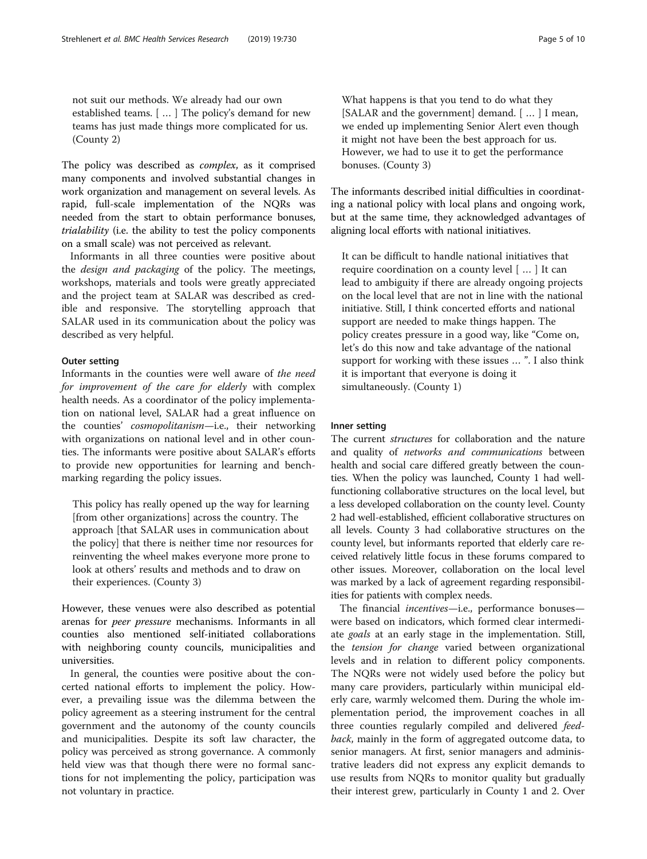not suit our methods. We already had our own established teams. [ … ] The policy's demand for new teams has just made things more complicated for us. (County 2)

The policy was described as *complex*, as it comprised many components and involved substantial changes in work organization and management on several levels. As rapid, full-scale implementation of the NQRs was needed from the start to obtain performance bonuses, trialability (i.e. the ability to test the policy components on a small scale) was not perceived as relevant.

Informants in all three counties were positive about the design and packaging of the policy. The meetings, workshops, materials and tools were greatly appreciated and the project team at SALAR was described as credible and responsive. The storytelling approach that SALAR used in its communication about the policy was described as very helpful.

### Outer setting

Informants in the counties were well aware of the need for improvement of the care for elderly with complex health needs. As a coordinator of the policy implementation on national level, SALAR had a great influence on the counties' cosmopolitanism—i.e., their networking with organizations on national level and in other counties. The informants were positive about SALAR's efforts to provide new opportunities for learning and benchmarking regarding the policy issues.

This policy has really opened up the way for learning [from other organizations] across the country. The approach [that SALAR uses in communication about the policy] that there is neither time nor resources for reinventing the wheel makes everyone more prone to look at others' results and methods and to draw on their experiences. (County 3)

However, these venues were also described as potential arenas for peer pressure mechanisms. Informants in all counties also mentioned self-initiated collaborations with neighboring county councils, municipalities and universities.

In general, the counties were positive about the concerted national efforts to implement the policy. However, a prevailing issue was the dilemma between the policy agreement as a steering instrument for the central government and the autonomy of the county councils and municipalities. Despite its soft law character, the policy was perceived as strong governance. A commonly held view was that though there were no formal sanctions for not implementing the policy, participation was not voluntary in practice.

What happens is that you tend to do what they [SALAR and the government] demand. [...] I mean, we ended up implementing Senior Alert even though it might not have been the best approach for us. However, we had to use it to get the performance bonuses. (County 3)

The informants described initial difficulties in coordinating a national policy with local plans and ongoing work, but at the same time, they acknowledged advantages of aligning local efforts with national initiatives.

It can be difficult to handle national initiatives that require coordination on a county level [ … ] It can lead to ambiguity if there are already ongoing projects on the local level that are not in line with the national initiative. Still, I think concerted efforts and national support are needed to make things happen. The policy creates pressure in a good way, like "Come on, let's do this now and take advantage of the national support for working with these issues … ". I also think it is important that everyone is doing it simultaneously. (County 1)

### Inner setting

The current *structures* for collaboration and the nature and quality of networks and communications between health and social care differed greatly between the counties. When the policy was launched, County 1 had wellfunctioning collaborative structures on the local level, but a less developed collaboration on the county level. County 2 had well-established, efficient collaborative structures on all levels. County 3 had collaborative structures on the county level, but informants reported that elderly care received relatively little focus in these forums compared to other issues. Moreover, collaboration on the local level was marked by a lack of agreement regarding responsibilities for patients with complex needs.

The financial *incentives*—i.e., performance bonuses were based on indicators, which formed clear intermediate goals at an early stage in the implementation. Still, the tension for change varied between organizational levels and in relation to different policy components. The NQRs were not widely used before the policy but many care providers, particularly within municipal elderly care, warmly welcomed them. During the whole implementation period, the improvement coaches in all three counties regularly compiled and delivered feedback, mainly in the form of aggregated outcome data, to senior managers. At first, senior managers and administrative leaders did not express any explicit demands to use results from NQRs to monitor quality but gradually their interest grew, particularly in County 1 and 2. Over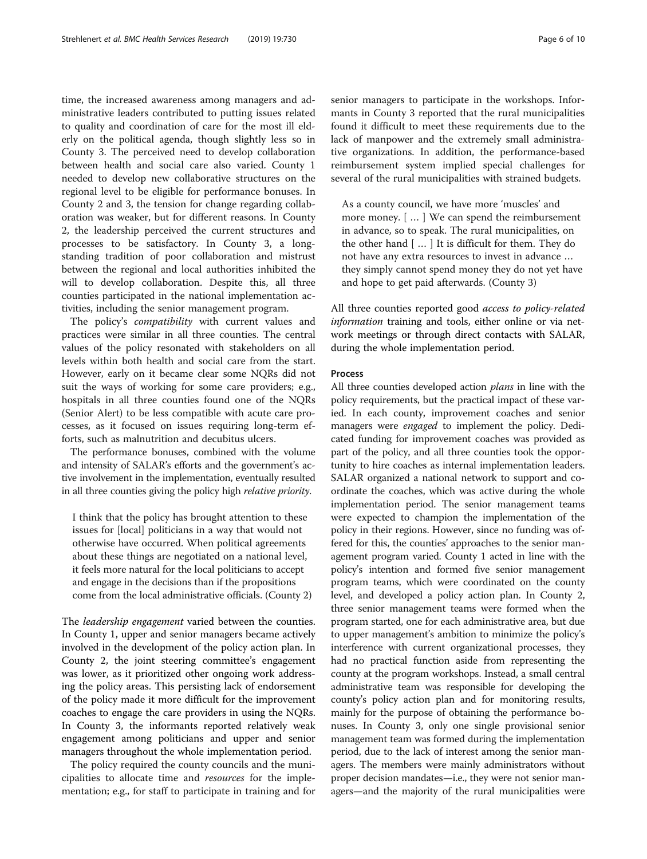time, the increased awareness among managers and administrative leaders contributed to putting issues related to quality and coordination of care for the most ill elderly on the political agenda, though slightly less so in County 3. The perceived need to develop collaboration between health and social care also varied. County 1 needed to develop new collaborative structures on the regional level to be eligible for performance bonuses. In County 2 and 3, the tension for change regarding collaboration was weaker, but for different reasons. In County 2, the leadership perceived the current structures and processes to be satisfactory. In County 3, a longstanding tradition of poor collaboration and mistrust between the regional and local authorities inhibited the will to develop collaboration. Despite this, all three counties participated in the national implementation activities, including the senior management program.

The policy's *compatibility* with current values and practices were similar in all three counties. The central values of the policy resonated with stakeholders on all levels within both health and social care from the start. However, early on it became clear some NQRs did not suit the ways of working for some care providers; e.g., hospitals in all three counties found one of the NQRs (Senior Alert) to be less compatible with acute care processes, as it focused on issues requiring long-term efforts, such as malnutrition and decubitus ulcers.

The performance bonuses, combined with the volume and intensity of SALAR's efforts and the government's active involvement in the implementation, eventually resulted in all three counties giving the policy high relative priority.

I think that the policy has brought attention to these issues for [local] politicians in a way that would not otherwise have occurred. When political agreements about these things are negotiated on a national level, it feels more natural for the local politicians to accept and engage in the decisions than if the propositions come from the local administrative officials. (County 2)

The leadership engagement varied between the counties. In County 1, upper and senior managers became actively involved in the development of the policy action plan. In County 2, the joint steering committee's engagement was lower, as it prioritized other ongoing work addressing the policy areas. This persisting lack of endorsement of the policy made it more difficult for the improvement coaches to engage the care providers in using the NQRs. In County 3, the informants reported relatively weak engagement among politicians and upper and senior managers throughout the whole implementation period.

The policy required the county councils and the municipalities to allocate time and resources for the implementation; e.g., for staff to participate in training and for senior managers to participate in the workshops. Informants in County 3 reported that the rural municipalities found it difficult to meet these requirements due to the lack of manpower and the extremely small administrative organizations. In addition, the performance-based reimbursement system implied special challenges for several of the rural municipalities with strained budgets.

As a county council, we have more 'muscles' and more money. [ … ] We can spend the reimbursement in advance, so to speak. The rural municipalities, on the other hand [ … ] It is difficult for them. They do not have any extra resources to invest in advance … they simply cannot spend money they do not yet have and hope to get paid afterwards. (County 3)

All three counties reported good access to policy-related information training and tools, either online or via network meetings or through direct contacts with SALAR, during the whole implementation period.

### Process

All three counties developed action plans in line with the policy requirements, but the practical impact of these varied. In each county, improvement coaches and senior managers were engaged to implement the policy. Dedicated funding for improvement coaches was provided as part of the policy, and all three counties took the opportunity to hire coaches as internal implementation leaders. SALAR organized a national network to support and coordinate the coaches, which was active during the whole implementation period. The senior management teams were expected to champion the implementation of the policy in their regions. However, since no funding was offered for this, the counties' approaches to the senior management program varied. County 1 acted in line with the policy's intention and formed five senior management program teams, which were coordinated on the county level, and developed a policy action plan. In County 2, three senior management teams were formed when the program started, one for each administrative area, but due to upper management's ambition to minimize the policy's interference with current organizational processes, they had no practical function aside from representing the county at the program workshops. Instead, a small central administrative team was responsible for developing the county's policy action plan and for monitoring results, mainly for the purpose of obtaining the performance bonuses. In County 3, only one single provisional senior management team was formed during the implementation period, due to the lack of interest among the senior managers. The members were mainly administrators without proper decision mandates—i.e., they were not senior managers—and the majority of the rural municipalities were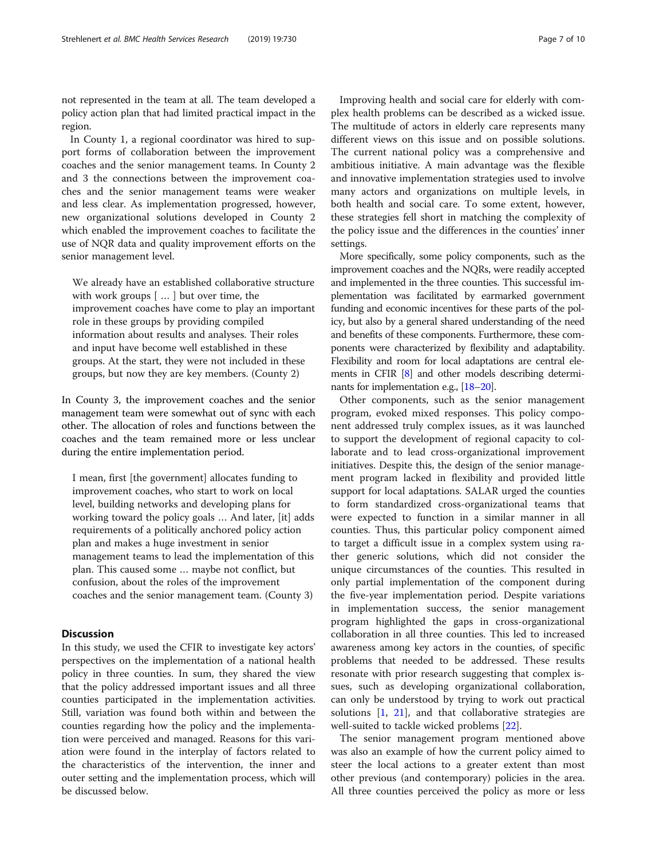not represented in the team at all. The team developed a policy action plan that had limited practical impact in the region.

In County 1, a regional coordinator was hired to support forms of collaboration between the improvement coaches and the senior management teams. In County 2 and 3 the connections between the improvement coaches and the senior management teams were weaker and less clear. As implementation progressed, however, new organizational solutions developed in County 2 which enabled the improvement coaches to facilitate the use of NQR data and quality improvement efforts on the senior management level.

We already have an established collaborative structure with work groups [ … ] but over time, the improvement coaches have come to play an important role in these groups by providing compiled information about results and analyses. Their roles and input have become well established in these groups. At the start, they were not included in these groups, but now they are key members. (County 2)

In County 3, the improvement coaches and the senior management team were somewhat out of sync with each other. The allocation of roles and functions between the coaches and the team remained more or less unclear during the entire implementation period.

I mean, first [the government] allocates funding to improvement coaches, who start to work on local level, building networks and developing plans for working toward the policy goals … And later, [it] adds requirements of a politically anchored policy action plan and makes a huge investment in senior management teams to lead the implementation of this plan. This caused some … maybe not conflict, but confusion, about the roles of the improvement coaches and the senior management team. (County 3)

# **Discussion**

In this study, we used the CFIR to investigate key actors' perspectives on the implementation of a national health policy in three counties. In sum, they shared the view that the policy addressed important issues and all three counties participated in the implementation activities. Still, variation was found both within and between the counties regarding how the policy and the implementation were perceived and managed. Reasons for this variation were found in the interplay of factors related to the characteristics of the intervention, the inner and outer setting and the implementation process, which will be discussed below.

Improving health and social care for elderly with complex health problems can be described as a wicked issue. The multitude of actors in elderly care represents many different views on this issue and on possible solutions. The current national policy was a comprehensive and ambitious initiative. A main advantage was the flexible and innovative implementation strategies used to involve many actors and organizations on multiple levels, in both health and social care. To some extent, however, these strategies fell short in matching the complexity of the policy issue and the differences in the counties' inner settings.

More specifically, some policy components, such as the improvement coaches and the NQRs, were readily accepted and implemented in the three counties. This successful implementation was facilitated by earmarked government funding and economic incentives for these parts of the policy, but also by a general shared understanding of the need and benefits of these components. Furthermore, these components were characterized by flexibility and adaptability. Flexibility and room for local adaptations are central elements in CFIR [\[8](#page-9-0)] and other models describing determinants for implementation e.g., [\[18](#page-9-0)–[20\]](#page-9-0).

Other components, such as the senior management program, evoked mixed responses. This policy component addressed truly complex issues, as it was launched to support the development of regional capacity to collaborate and to lead cross-organizational improvement initiatives. Despite this, the design of the senior management program lacked in flexibility and provided little support for local adaptations. SALAR urged the counties to form standardized cross-organizational teams that were expected to function in a similar manner in all counties. Thus, this particular policy component aimed to target a difficult issue in a complex system using rather generic solutions, which did not consider the unique circumstances of the counties. This resulted in only partial implementation of the component during the five-year implementation period. Despite variations in implementation success, the senior management program highlighted the gaps in cross-organizational collaboration in all three counties. This led to increased awareness among key actors in the counties, of specific problems that needed to be addressed. These results resonate with prior research suggesting that complex issues, such as developing organizational collaboration, can only be understood by trying to work out practical solutions  $[1, 21]$  $[1, 21]$  $[1, 21]$  $[1, 21]$ , and that collaborative strategies are well-suited to tackle wicked problems [\[22](#page-9-0)].

The senior management program mentioned above was also an example of how the current policy aimed to steer the local actions to a greater extent than most other previous (and contemporary) policies in the area. All three counties perceived the policy as more or less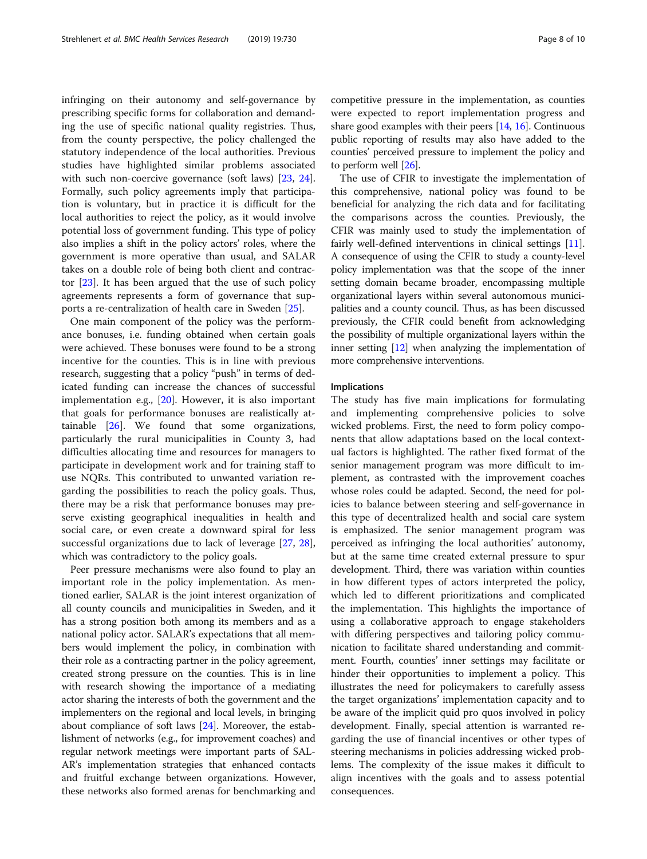infringing on their autonomy and self-governance by prescribing specific forms for collaboration and demanding the use of specific national quality registries. Thus, from the county perspective, the policy challenged the statutory independence of the local authorities. Previous studies have highlighted similar problems associated with such non-coercive governance (soft laws) [\[23](#page-9-0), [24](#page-9-0)]. Formally, such policy agreements imply that participation is voluntary, but in practice it is difficult for the local authorities to reject the policy, as it would involve potential loss of government funding. This type of policy also implies a shift in the policy actors' roles, where the government is more operative than usual, and SALAR takes on a double role of being both client and contractor [[23\]](#page-9-0). It has been argued that the use of such policy agreements represents a form of governance that supports a re-centralization of health care in Sweden [\[25](#page-9-0)].

One main component of the policy was the performance bonuses, i.e. funding obtained when certain goals were achieved. These bonuses were found to be a strong incentive for the counties. This is in line with previous research, suggesting that a policy "push" in terms of dedicated funding can increase the chances of successful implementation e.g., [\[20\]](#page-9-0). However, it is also important that goals for performance bonuses are realistically attainable [\[26](#page-9-0)]. We found that some organizations, particularly the rural municipalities in County 3, had difficulties allocating time and resources for managers to participate in development work and for training staff to use NQRs. This contributed to unwanted variation regarding the possibilities to reach the policy goals. Thus, there may be a risk that performance bonuses may preserve existing geographical inequalities in health and social care, or even create a downward spiral for less successful organizations due to lack of leverage [[27,](#page-9-0) [28](#page-9-0)], which was contradictory to the policy goals.

Peer pressure mechanisms were also found to play an important role in the policy implementation. As mentioned earlier, SALAR is the joint interest organization of all county councils and municipalities in Sweden, and it has a strong position both among its members and as a national policy actor. SALAR's expectations that all members would implement the policy, in combination with their role as a contracting partner in the policy agreement, created strong pressure on the counties. This is in line with research showing the importance of a mediating actor sharing the interests of both the government and the implementers on the regional and local levels, in bringing about compliance of soft laws [[24](#page-9-0)]. Moreover, the establishment of networks (e.g., for improvement coaches) and regular network meetings were important parts of SAL-AR's implementation strategies that enhanced contacts and fruitful exchange between organizations. However, these networks also formed arenas for benchmarking and competitive pressure in the implementation, as counties were expected to report implementation progress and share good examples with their peers [[14](#page-9-0), [16\]](#page-9-0). Continuous public reporting of results may also have added to the counties' perceived pressure to implement the policy and to perform well [\[26\]](#page-9-0).

The use of CFIR to investigate the implementation of this comprehensive, national policy was found to be beneficial for analyzing the rich data and for facilitating the comparisons across the counties. Previously, the CFIR was mainly used to study the implementation of fairly well-defined interventions in clinical settings [\[11](#page-9-0)]. A consequence of using the CFIR to study a county-level policy implementation was that the scope of the inner setting domain became broader, encompassing multiple organizational layers within several autonomous municipalities and a county council. Thus, as has been discussed previously, the CFIR could benefit from acknowledging the possibility of multiple organizational layers within the inner setting [\[12\]](#page-9-0) when analyzing the implementation of more comprehensive interventions.

### Implications

The study has five main implications for formulating and implementing comprehensive policies to solve wicked problems. First, the need to form policy components that allow adaptations based on the local contextual factors is highlighted. The rather fixed format of the senior management program was more difficult to implement, as contrasted with the improvement coaches whose roles could be adapted. Second, the need for policies to balance between steering and self-governance in this type of decentralized health and social care system is emphasized. The senior management program was perceived as infringing the local authorities' autonomy, but at the same time created external pressure to spur development. Third, there was variation within counties in how different types of actors interpreted the policy, which led to different prioritizations and complicated the implementation. This highlights the importance of using a collaborative approach to engage stakeholders with differing perspectives and tailoring policy communication to facilitate shared understanding and commitment. Fourth, counties' inner settings may facilitate or hinder their opportunities to implement a policy. This illustrates the need for policymakers to carefully assess the target organizations' implementation capacity and to be aware of the implicit quid pro quos involved in policy development. Finally, special attention is warranted regarding the use of financial incentives or other types of steering mechanisms in policies addressing wicked problems. The complexity of the issue makes it difficult to align incentives with the goals and to assess potential consequences.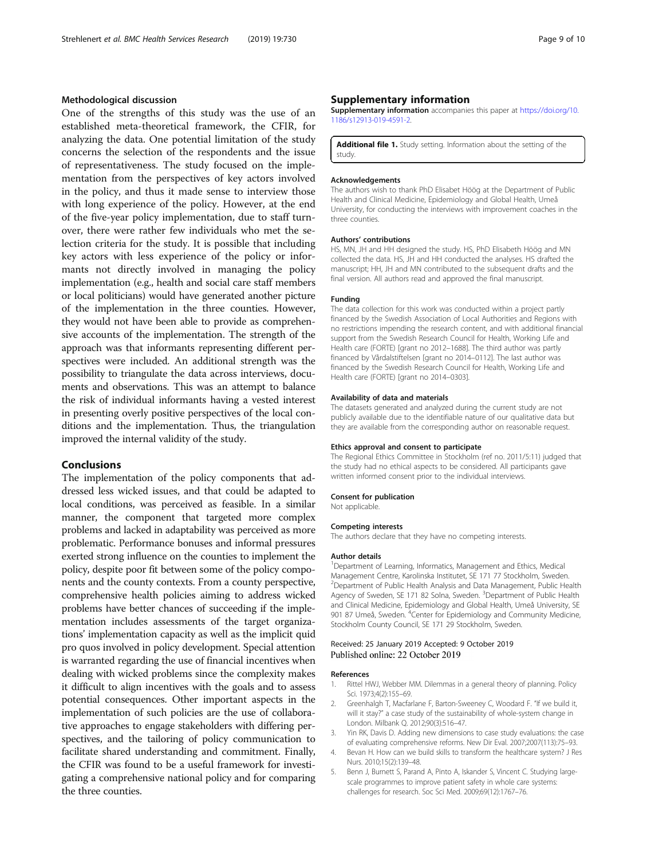### <span id="page-8-0"></span>Methodological discussion

One of the strengths of this study was the use of an established meta-theoretical framework, the CFIR, for analyzing the data. One potential limitation of the study concerns the selection of the respondents and the issue of representativeness. The study focused on the implementation from the perspectives of key actors involved in the policy, and thus it made sense to interview those with long experience of the policy. However, at the end of the five-year policy implementation, due to staff turnover, there were rather few individuals who met the selection criteria for the study. It is possible that including key actors with less experience of the policy or informants not directly involved in managing the policy implementation (e.g., health and social care staff members or local politicians) would have generated another picture of the implementation in the three counties. However, they would not have been able to provide as comprehensive accounts of the implementation. The strength of the approach was that informants representing different perspectives were included. An additional strength was the possibility to triangulate the data across interviews, documents and observations. This was an attempt to balance the risk of individual informants having a vested interest in presenting overly positive perspectives of the local conditions and the implementation. Thus, the triangulation improved the internal validity of the study.

### Conclusions

The implementation of the policy components that addressed less wicked issues, and that could be adapted to local conditions, was perceived as feasible. In a similar manner, the component that targeted more complex problems and lacked in adaptability was perceived as more problematic. Performance bonuses and informal pressures exerted strong influence on the counties to implement the policy, despite poor fit between some of the policy components and the county contexts. From a county perspective, comprehensive health policies aiming to address wicked problems have better chances of succeeding if the implementation includes assessments of the target organizations' implementation capacity as well as the implicit quid pro quos involved in policy development. Special attention is warranted regarding the use of financial incentives when dealing with wicked problems since the complexity makes it difficult to align incentives with the goals and to assess potential consequences. Other important aspects in the implementation of such policies are the use of collaborative approaches to engage stakeholders with differing perspectives, and the tailoring of policy communication to facilitate shared understanding and commitment. Finally, the CFIR was found to be a useful framework for investigating a comprehensive national policy and for comparing the three counties.

### Supplementary information

Supplementary information accompanies this paper at [https://doi.org/10.](https://doi.org/10.1186/s12913-019-4591-2) [1186/s12913-019-4591-2.](https://doi.org/10.1186/s12913-019-4591-2)

Additional file 1. Study setting. Information about the setting of the study.

#### Acknowledgements

The authors wish to thank PhD Elisabet Höög at the Department of Public Health and Clinical Medicine, Epidemiology and Global Health, Umeå University, for conducting the interviews with improvement coaches in the three counties.

#### Authors' contributions

HS, MN, JH and HH designed the study. HS, PhD Elisabeth Höög and MN collected the data. HS, JH and HH conducted the analyses. HS drafted the manuscript; HH, JH and MN contributed to the subsequent drafts and the final version. All authors read and approved the final manuscript.

#### Funding

The data collection for this work was conducted within a project partly financed by the Swedish Association of Local Authorities and Regions with no restrictions impending the research content, and with additional financial support from the Swedish Research Council for Health, Working Life and Health care (FORTE) [grant no 2012–1688]. The third author was partly financed by Vårdalstiftelsen [grant no 2014–0112]. The last author was financed by the Swedish Research Council for Health, Working Life and Health care (FORTE) [grant no 2014–0303].

#### Availability of data and materials

The datasets generated and analyzed during the current study are not publicly available due to the identifiable nature of our qualitative data but they are available from the corresponding author on reasonable request.

#### Ethics approval and consent to participate

The Regional Ethics Committee in Stockholm (ref no. 2011/5:11) judged that the study had no ethical aspects to be considered. All participants gave written informed consent prior to the individual interviews.

#### Consent for publication

Not applicable.

#### Competing interests

The authors declare that they have no competing interests.

#### Author details

<sup>1</sup>Department of Learning, Informatics, Management and Ethics, Medical Management Centre, Karolinska Institutet, SE 171 77 Stockholm, Sweden. <sup>2</sup> Department of Public Health Analysis and Data Management, Public Health Agency of Sweden, SE 171 82 Solna, Sweden. <sup>3</sup>Department of Public Health and Clinical Medicine, Epidemiology and Global Health, Umeå University, SE 901 87 Umeå, Sweden. <sup>4</sup>Center for Epidemiology and Community Medicine Stockholm County Council, SE 171 29 Stockholm, Sweden.

### Received: 25 January 2019 Accepted: 9 October 2019 Published online: 22 October 2019

### References

- 1. Rittel HWJ, Webber MM. Dilemmas in a general theory of planning. Policy Sci. 1973;4(2):155–69.
- Greenhalgh T, Macfarlane F, Barton-Sweeney C, Woodard F. "If we build it, will it stay?" a case study of the sustainability of whole-system change in London. Milbank Q. 2012;90(3):516–47.
- 3. Yin RK, Davis D. Adding new dimensions to case study evaluations: the case of evaluating comprehensive reforms. New Dir Eval. 2007;2007(113):75–93.
- 4. Bevan H. How can we build skills to transform the healthcare system? J Res Nurs. 2010;15(2):139–48.
- 5. Benn J, Burnett S, Parand A, Pinto A, Iskander S, Vincent C. Studying largescale programmes to improve patient safety in whole care systems: challenges for research. Soc Sci Med. 2009;69(12):1767–76.